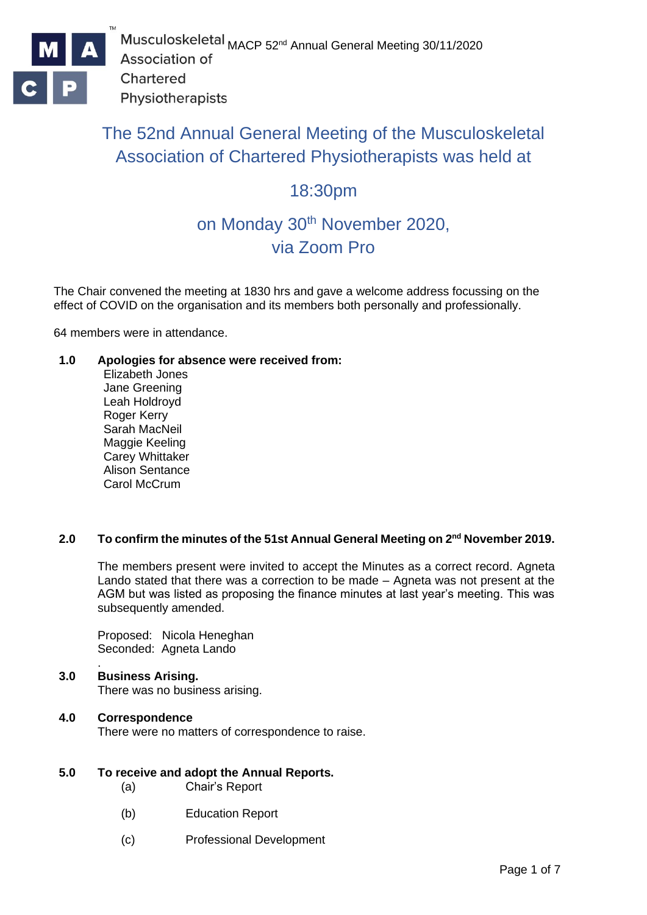

# The 52nd Annual General Meeting of the Musculoskeletal Association of Chartered Physiotherapists was held at

# 18:30pm

# on Monday 30<sup>th</sup> November 2020, via Zoom Pro

The Chair convened the meeting at 1830 hrs and gave a welcome address focussing on the effect of COVID on the organisation and its members both personally and professionally.

64 members were in attendance.

## **1.0 Apologies for absence were received from:**

Elizabeth Jones Jane Greening Leah Holdroyd Roger Kerry Sarah MacNeil Maggie Keeling Carey Whittaker Alison Sentance Carol McCrum

#### **2.0 To confirm the minutes of the 51st Annual General Meeting on 2 nd November 2019.**

The members present were invited to accept the Minutes as a correct record. Agneta Lando stated that there was a correction to be made – Agneta was not present at the AGM but was listed as proposing the finance minutes at last year's meeting. This was subsequently amended.

Proposed: Nicola Heneghan Seconded: Agneta Lando

#### . **3.0 Business Arising.**

There was no business arising.

#### **4.0 Correspondence**

There were no matters of correspondence to raise.

#### **5.0 To receive and adopt the Annual Reports.**

- (a) Chair's Report
- (b) Education Report
- (c) Professional Development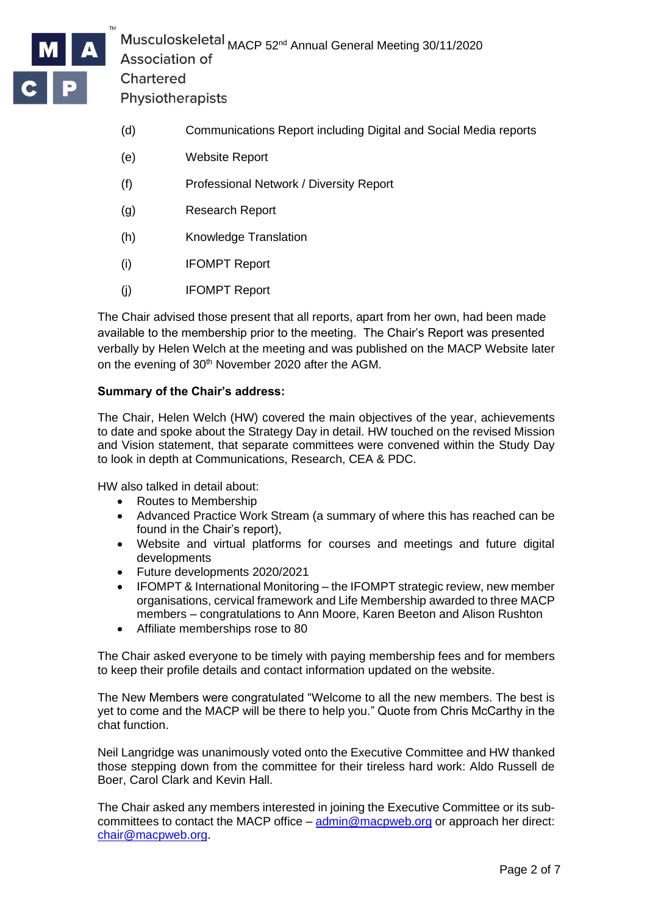

IOSKETETAT MACP 52<sup>nd</sup> Annual General Meeting 30/11/2020 Chartered

Physiotherapists

- (d) Communications Report including Digital and Social Media reports
- (e) Website Report
- (f) Professional Network / Diversity Report
- (g) Research Report
- (h) Knowledge Translation
- (i) IFOMPT Report
- (j) IFOMPT Report

The Chair advised those present that all reports, apart from her own, had been made available to the membership prior to the meeting. The Chair's Report was presented verbally by Helen Welch at the meeting and was published on the MACP Website later on the evening of 30<sup>th</sup> November 2020 after the AGM.

#### **Summary of the Chair's address:**

The Chair, Helen Welch (HW) covered the main objectives of the year, achievements to date and spoke about the Strategy Day in detail. HW touched on the revised Mission and Vision statement, that separate committees were convened within the Study Day to look in depth at Communications, Research, CEA & PDC.

HW also talked in detail about:

- Routes to Membership
- Advanced Practice Work Stream (a summary of where this has reached can be found in the Chair's report),
- Website and virtual platforms for courses and meetings and future digital developments
- Future developments 2020/2021
- IFOMPT & International Monitoring the IFOMPT strategic review, new member organisations, cervical framework and Life Membership awarded to three MACP members – congratulations to Ann Moore, Karen Beeton and Alison Rushton
- Affiliate memberships rose to 80

The Chair asked everyone to be timely with paying membership fees and for members to keep their profile details and contact information updated on the website.

The New Members were congratulated "Welcome to all the new members. The best is yet to come and the MACP will be there to help you." Quote from Chris McCarthy in the chat function.

Neil Langridge was unanimously voted onto the Executive Committee and HW thanked those stepping down from the committee for their tireless hard work: Aldo Russell de Boer, Carol Clark and Kevin Hall.

The Chair asked any members interested in joining the Executive Committee or its subcommittees to contact the MACP office  $-\text{admin@mapweb.org}$  or approach her direct: [chair@macpweb.org.](mailto:chair@macpweb.org)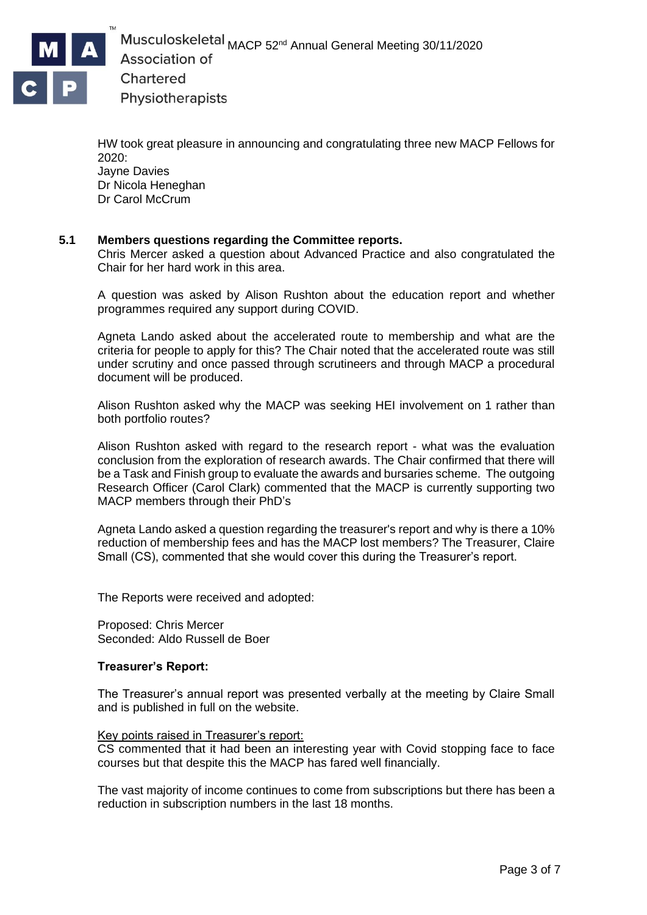

HW took great pleasure in announcing and congratulating three new MACP Fellows for 2020: Jayne Davies

Dr Nicola Heneghan Dr Carol McCrum

#### **5.1 Members questions regarding the Committee reports.**

Chris Mercer asked a question about Advanced Practice and also congratulated the Chair for her hard work in this area.

A question was asked by Alison Rushton about the education report and whether programmes required any support during COVID.

Agneta Lando asked about the accelerated route to membership and what are the criteria for people to apply for this? The Chair noted that the accelerated route was still under scrutiny and once passed through scrutineers and through MACP a procedural document will be produced.

Alison Rushton asked why the MACP was seeking HEI involvement on 1 rather than both portfolio routes?

Alison Rushton asked with regard to the research report - what was the evaluation conclusion from the exploration of research awards. The Chair confirmed that there will be a Task and Finish group to evaluate the awards and bursaries scheme. The outgoing Research Officer (Carol Clark) commented that the MACP is currently supporting two MACP members through their PhD's

Agneta Lando asked a question regarding the treasurer's report and why is there a 10% reduction of membership fees and has the MACP lost members? The Treasurer, Claire Small (CS), commented that she would cover this during the Treasurer's report.

The Reports were received and adopted:

Proposed: Chris Mercer Seconded: Aldo Russell de Boer

#### **Treasurer's Report:**

The Treasurer's annual report was presented verbally at the meeting by Claire Small and is published in full on the website.

#### Key points raised in Treasurer's report:

CS commented that it had been an interesting year with Covid stopping face to face courses but that despite this the MACP has fared well financially.

The vast majority of income continues to come from subscriptions but there has been a reduction in subscription numbers in the last 18 months.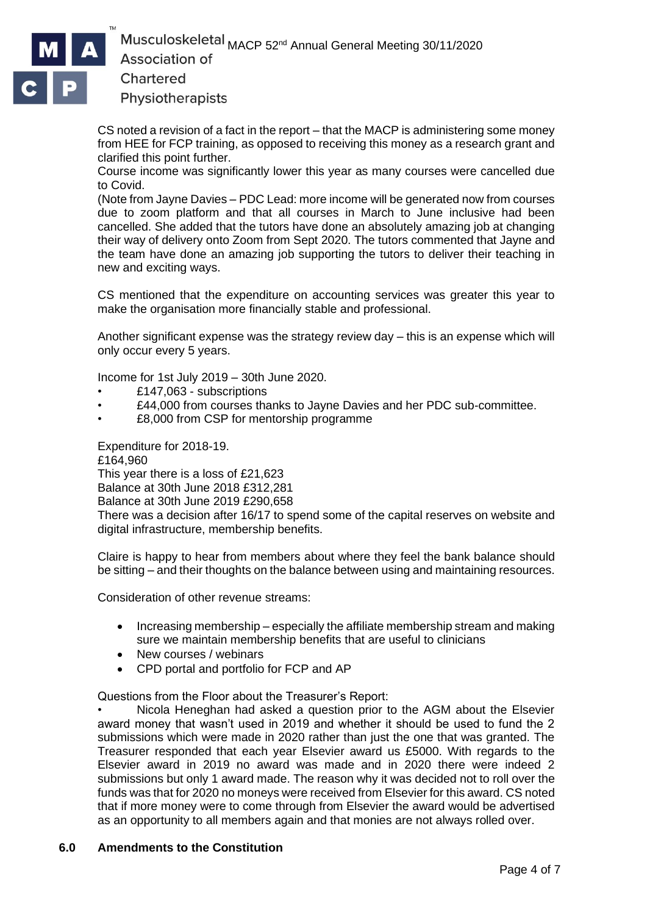

Physiotherapists

CS noted a revision of a fact in the report – that the MACP is administering some money from HEE for FCP training, as opposed to receiving this money as a research grant and clarified this point further.

Course income was significantly lower this year as many courses were cancelled due to Covid.

(Note from Jayne Davies – PDC Lead: more income will be generated now from courses due to zoom platform and that all courses in March to June inclusive had been cancelled. She added that the tutors have done an absolutely amazing job at changing their way of delivery onto Zoom from Sept 2020. The tutors commented that Jayne and the team have done an amazing job supporting the tutors to deliver their teaching in new and exciting ways.

CS mentioned that the expenditure on accounting services was greater this year to make the organisation more financially stable and professional.

Another significant expense was the strategy review day – this is an expense which will only occur every 5 years.

Income for 1st July 2019 – 30th June 2020.

- £147,063 subscriptions
- £44,000 from courses thanks to Jayne Davies and her PDC sub-committee.
- £8,000 from CSP for mentorship programme

Expenditure for 2018-19.

£164,960 This year there is a loss of £21,623

Balance at 30th June 2018 £312,281

Balance at 30th June 2019 £290,658

There was a decision after 16/17 to spend some of the capital reserves on website and digital infrastructure, membership benefits.

Claire is happy to hear from members about where they feel the bank balance should be sitting – and their thoughts on the balance between using and maintaining resources.

Consideration of other revenue streams:

- Increasing membership especially the affiliate membership stream and making sure we maintain membership benefits that are useful to clinicians
- New courses / webinars
- CPD portal and portfolio for FCP and AP

Questions from the Floor about the Treasurer's Report:

• Nicola Heneghan had asked a question prior to the AGM about the Elsevier award money that wasn't used in 2019 and whether it should be used to fund the 2 submissions which were made in 2020 rather than just the one that was granted. The Treasurer responded that each year Elsevier award us £5000. With regards to the Elsevier award in 2019 no award was made and in 2020 there were indeed 2 submissions but only 1 award made. The reason why it was decided not to roll over the funds was that for 2020 no moneys were received from Elsevier for this award. CS noted that if more money were to come through from Elsevier the award would be advertised as an opportunity to all members again and that monies are not always rolled over.

#### **6.0 Amendments to the Constitution**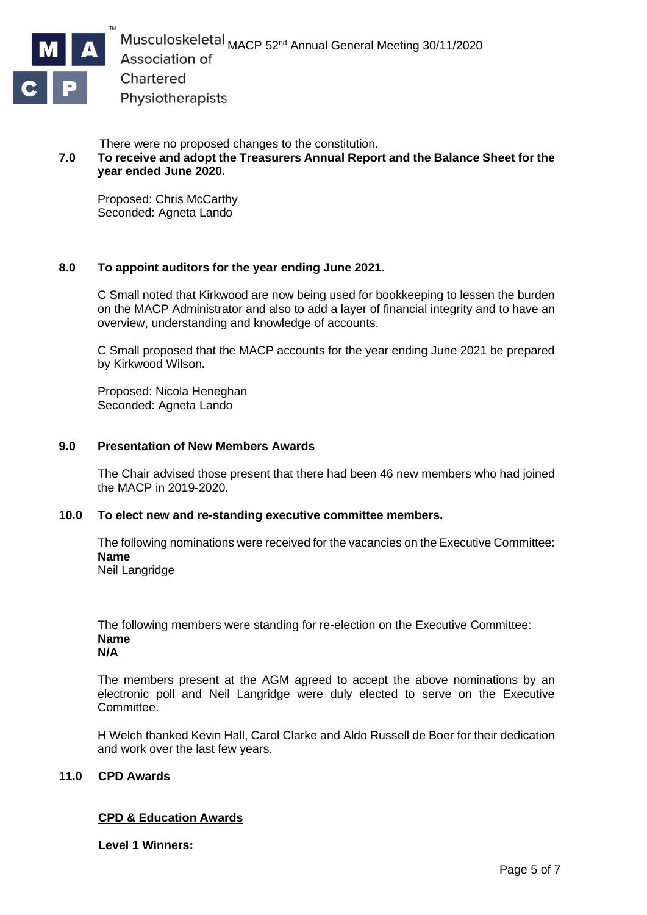

There were no proposed changes to the constitution.

# **7.0 To receive and adopt the Treasurers Annual Report and the Balance Sheet for the year ended June 2020.**

Proposed: Chris McCarthy Seconded: Agneta Lando

## **8.0 To appoint auditors for the year ending June 2021.**

C Small noted that Kirkwood are now being used for bookkeeping to lessen the burden on the MACP Administrator and also to add a layer of financial integrity and to have an overview, understanding and knowledge of accounts.

C Small proposed that the MACP accounts for the year ending June 2021 be prepared by Kirkwood Wilson**.** 

Proposed: Nicola Heneghan Seconded: Agneta Lando

#### **9.0 Presentation of New Members Awards**

The Chair advised those present that there had been 46 new members who had joined the MACP in 2019-2020.

#### **10.0 To elect new and re-standing executive committee members.**

The following nominations were received for the vacancies on the Executive Committee: **Name**

Neil Langridge

The following members were standing for re-election on the Executive Committee: **Name**

**N/A**

The members present at the AGM agreed to accept the above nominations by an electronic poll and Neil Langridge were duly elected to serve on the Executive Committee.

H Welch thanked Kevin Hall, Carol Clarke and Aldo Russell de Boer for their dedication and work over the last few years.

#### **11.0 CPD Awards**

#### **CPD & Education Awards**

**Level 1 Winners:**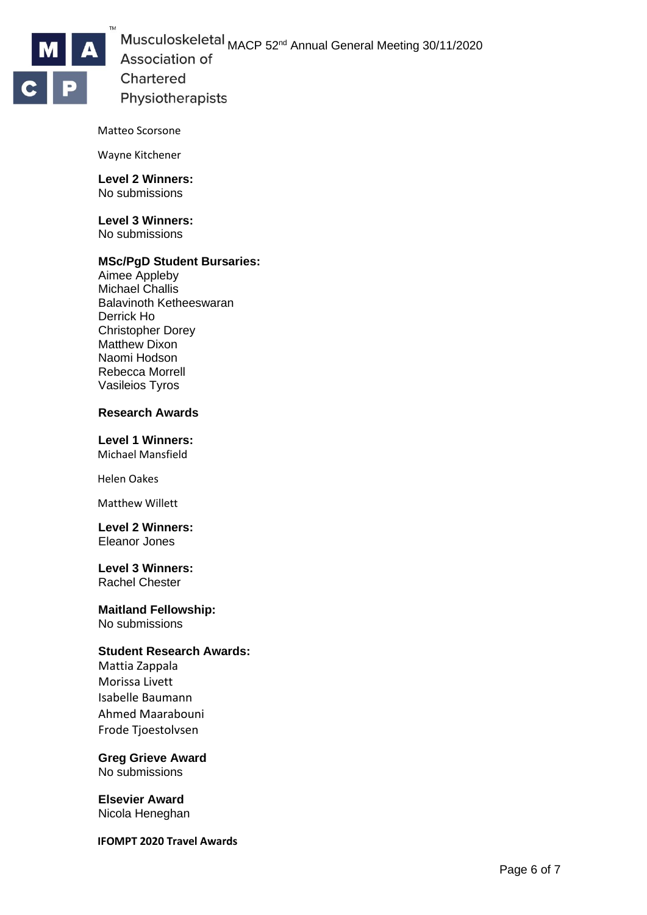

#### Matteo Scorsone

Wayne Kitchener

#### **Level 2 Winners:** No submissions

**Level 3 Winners:** No submissions

#### **MSc/PgD Student Bursaries:**

Aimee Appleby Michael Challis Balavinoth Ketheeswaran Derrick Ho Christopher Dorey Matthew Dixon Naomi Hodson Rebecca Morrell Vasileios Tyros

#### **Research Awards**

#### **Level 1 Winners:**

Michael Mansfield

Helen Oakes

Matthew Willett

#### **Level 2 Winners:** Eleanor Jones

# **Level 3 Winners:**

Rachel Chester

#### **Maitland Fellowship:** No submissions

## **Student Research Awards:**

Mattia Zappala Morissa Livett Isabelle Baumann Ahmed Maarabouni Frode Tjoestolvsen

# **Greg Grieve Award**

No submissions

#### **Elsevier Award** Nicola Heneghan

**IFOMPT 2020 Travel Awards**